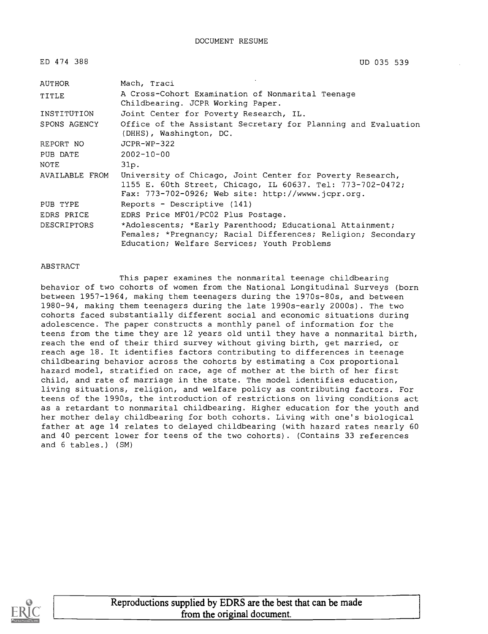ED 474 388

UD 035 539

| AUTHOR             | Mach, Traci                                                                                                                                                                      |
|--------------------|----------------------------------------------------------------------------------------------------------------------------------------------------------------------------------|
| TITLE              | A Cross-Cohort Examination of Nonmarital Teenage<br>Childbearing. JCPR Working Paper.                                                                                            |
| INSTITUTION        | Joint Center for Poverty Research, IL.                                                                                                                                           |
| SPONS AGENCY       | Office of the Assistant Secretary for Planning and Evaluation<br>(DHHS), Washington, DC.                                                                                         |
| REPORT NO          | $JCPR-WP-322$                                                                                                                                                                    |
| PUB DATE           | $2002 - 10 - 00$                                                                                                                                                                 |
| NOTE               | 31p.                                                                                                                                                                             |
| AVAILABLE FROM     | University of Chicago, Joint Center for Poverty Research,<br>1155 E. 60th Street, Chicago, IL 60637. Tel: 773-702-0472;<br>Fax: $773-702-0926$ ; Web site: http://wwww.jcpr.org. |
| PUB TYPE           | Reports - Descriptive (141)                                                                                                                                                      |
| EDRS PRICE         | EDRS Price MF01/PC02 Plus Postage.                                                                                                                                               |
| <b>DESCRIPTORS</b> | *Adolescents; *Early Parenthood; Educational Attainment;<br>Females; *Pregnancy; Racial Differences; Religion; Secondary<br>Education; Welfare Services; Youth Problems          |

#### ABSTRACT

This paper examines the nonmarital teenage childbearing behavior of two cohorts of women from the National Longitudinal Surveys (born between 1957-1964, making them teenagers during the 1970s-80s, and between 1980-94, making them teenagers during the late 1990s-early 2000s). The two cohorts faced substantially different social and economic situations during adolescence. The paper constructs a monthly panel of information for the teens from the time they are 12 years old until they have a nonmarital birth, reach the end of their third survey without giving birth, get married, or reach age 18. It identifies factors contributing to differences in teenage childbearing behavior across the cohorts by estimating a Cox proportional hazard model, stratified on race, age of mother at the birth of her first child, and rate of marriage in the state. The model identifies education, living situations, religion, and welfare policy as contributing factors. For teens of the 1990s, the introduction of restrictions on living conditions act as a retardant to nonmarital childbearing. Higher education for the youth and her mother delay childbearing for both cohorts. Living with one's biological father at age 14 relates to delayed childbearing (with hazard rates nearly 60 and 40 percent lower for teens of the two cohorts). (Contains 33 references and 6 tables.) (SM)

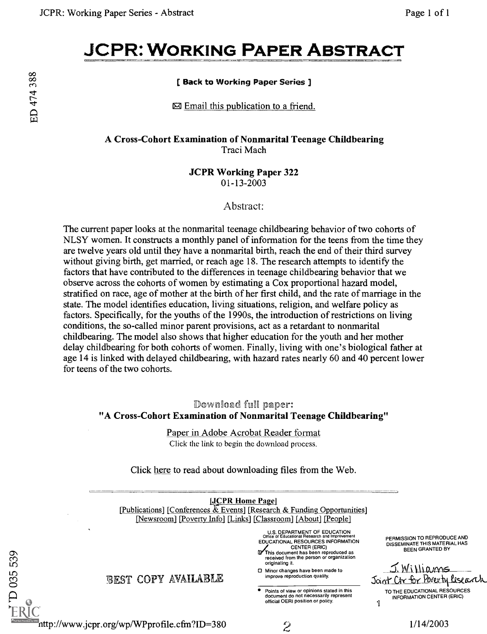# JCPR: WORKING PAPER ABSTRACT

## Back to Working Paper Series ]

 $\boxtimes$  Email this publication to a friend.

A Cross-Cohort Examination of Nonmarital Teenage Childbearing Traci Mach

> JCPR Working Paper 322 01-13-2003

> > Abstract:

The current paper looks at the nonmarital teenage childbearing behavior of two cohorts of NLSY women. It constructs a monthly panel of information for the teens from the time they are twelve years old until they have a nonmarital birth, reach the end of their third survey without giving birth, get married, or reach age 18. The research attempts to identify the factors that have contributed to the differences in teenage childbearing behavior that we observe across the cohorts of women by estimating a Cox proportional hazard model, stratified on race, age of mother at the birth of her first child, and the rate of marriage in the state. The model identifies education, living situations, religion, and welfare policy as factors. Specifically, for the youths of the 1990s, the introduction of restrictions on living conditions, the so-called minor parent provisions, act as a retardant to nonmarital childbearing. The model also shows that higher education for the youth and her mother delay childbearing for both cohorts of women. Finally, living with one's biological father at age 14 is linked with delayed childbearing, with hazard rates nearly 60 and 40 percent lower for teens of the two cohorts.

Download full paper: "A Cross-Cohort Examination of Nonmarital Teenage Childbearing"

> Paper in Adobe Acrobat Reader format Click the link to begin the download process.

Click here to read about downloading files from the Web.



 $D$  035 539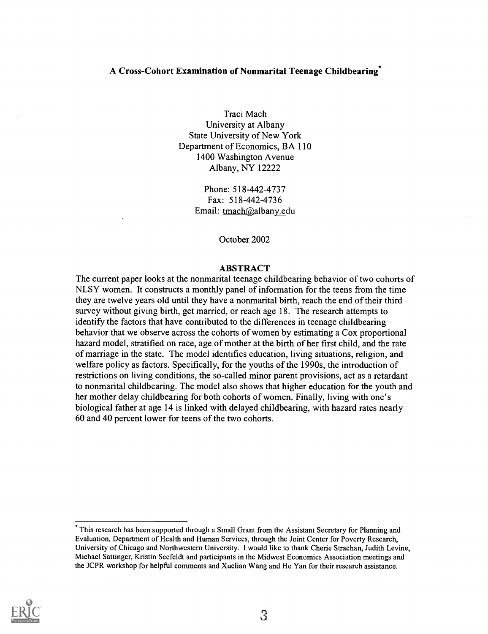#### A Cross-Cohort Examination of Nonmarital Teenage Childbearing\*

Traci Mach University at Albany State University of New York Department of Economics, BA 110 1400 Washington Avenue Albany, NY 12222

> Phone: 518-442-4737 Fax: 518-442-4736 Email: tmach@albany.edu

> > October 2002

#### ABSTRACT

The current paper looks at the nonmarital teenage childbearing behavior of two cohorts of NLSY women. It constructs a monthly panel of information for the teens from the time they are twelve years old until they have a nonmarital birth, reach the end of their third survey without giving birth, get married, or reach age 18. The research attempts to identify the factors that have contributed to the differences in teenage childbearing behavior that we observe across the cohorts of women by estimating a Cox proportional hazard model, stratified on race, age of mother at the birth of her first child, and the rate of marriage in the state. The model identifies education, living situations, religion, and welfare policy as factors. Specifically, for the youths of the 1990s, the introduction of restrictions on living conditions, the so-called minor parent provisions, act as a retardant to nonmarital childbearing. The model also shows that higher education for the youth and her mother delay childbearing for both cohorts of women. Finally, living with one's biological father at age 14 is linked with delayed childbearing, with hazard rates nearly 60 and 40 percent lower for teens of the two cohorts.



This research has been supported through a Small Grant from the Assistant Secretary for Planning and Evaluation, Department of Health and Human Services, through the Joint Center for Poverty Research, University of Chicago and Northwestern University. I would like to thank Cherie Strachan, Judith Levine, Michael Sattinger, Kristin Seefeldt and participants in the Midwest Economics Association meetings and the JCPR workshop for helpful comments and Xuelian Wang and He Yan for their research assistance.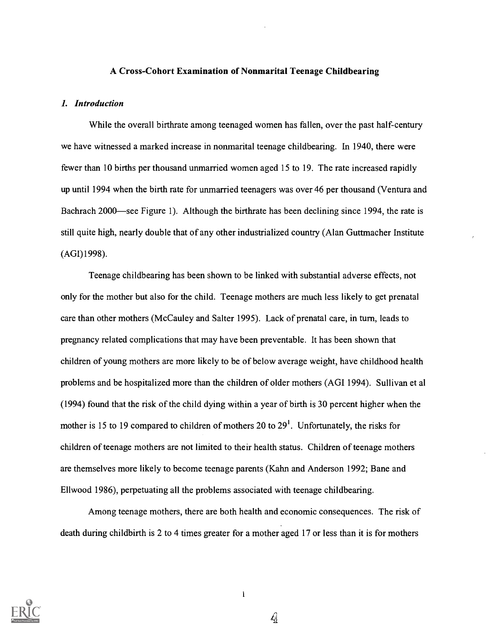#### A Cross-Cohort Examination of Nonmarital Teenage Childbearing

#### 1. Introduction

While the overall birthrate among teenaged women has fallen, over the past half-century we have witnessed a marked increase in nonmarital teenage childbearing. In 1940, there were fewer than 10 births per thousand unmarried women aged 15 to 19. The rate increased rapidly up until 1994 when the birth rate for unmarried teenagers was over 46 per thousand (Ventura and Bachrach 2000—see Figure 1). Although the birthrate has been declining since 1994, the rate is still quite high, nearly double that of any other industrialized country (Alan Guttmacher Institute (AGI)1998).

Teenage childbearing has been shown to be linked with substantial adverse effects, not only for the mother but also for the child. Teenage mothers are much less likely to get prenatal care than other mothers (McCauley and Salter 1995). Lack of prenatal care, in turn, leads to pregnancy related complications that may have been preventable. It has been shown that children of young mothers are more likely to be of below average weight, have childhood health problems and be hospitalized more than the children of older mothers (AGI 1994). Sullivan et al (1994) found that the risk of the child dying within a year of birth is 30 percent higher when the mother is 15 to 19 compared to children of mothers 20 to  $29<sup>1</sup>$ . Unfortunately, the risks for children of teenage mothers are not limited to their health status. Children of teenage mothers are themselves more likely to become teenage parents (Kahn and Anderson 1992; Bane and Ellwood 1986), perpetuating all the problems associated with teenage childbearing.

Among teenage mothers, there are both health and economic consequences. The risk of death during childbirth is 2 to 4 times greater for a mother aged 17 or less than it is for mothers



 $\mathbf{1}$ 

Q)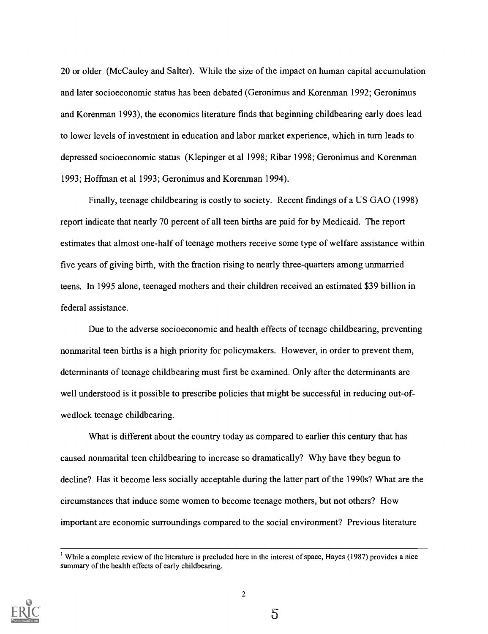20 or older (McCauley and Salter). While the size of the impact on human capital accumulation and later socioeconomic status has been debated (Geronimus and Korenman 1992; Geronimus and Korenman 1993), the economics literature finds that beginning childbearing early does lead to lower levels of investment in education and labor market experience, which in turn leads to depressed socioeconomic status (Klepinger et al 1998; Ribar 1998; Geronimus and Korenman 1993; Hoffman et al 1993; Geronimus and Korenman 1994).

Finally, teenage childbearing is costly to society. Recent findings of a US GAO (1998) report indicate that nearly 70 percent of all teen births are paid for by Medicaid. The report estimates that almost one-half of teenage mothers receive some type of welfare assistance within five years of giving birth, with the fraction rising to nearly three-quarters among unmarried teens. In 1995 alone, teenaged mothers and their children received an estimated \$39 billion in federal assistance.

Due to the adverse socioeconomic and health effects of teenage childbearing, preventing nonmarital teen births is a high priority for policymakers. However, in order to prevent them, determinants of teenage childbearing must first be examined. Only after the determinants are well understood is it possible to prescribe policies that might be successful in reducing out-ofwedlock teenage childbearing.

What is different about the country today as compared to earlier this century that has caused nonmarital teen childbearing to increase so dramatically? Why have they begun to decline? Has it become less socially acceptable during the latter part of the 1990s? What are the circumstances that induce some women to become teenage mothers, but not others? How important are economic surroundings compared to the social environment? Previous literature



 $5\overline{5}$ 

While a complete review of the literature is precluded here in the interest of space, Hayes (1987) provides a nice summary of the health effects of early childbearing.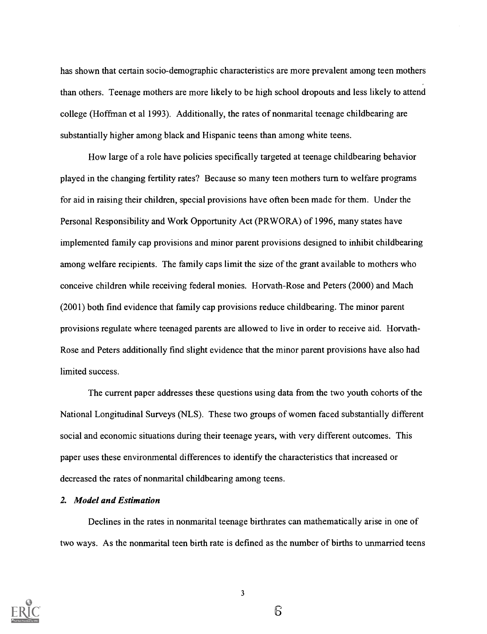has shown that certain socio-demographic characteristics are more prevalent among teen mothers than others. Teenage mothers are more likely to be high school dropouts and less likely to attend college (Hoffman et al 1993). Additionally, the rates of nonmarital teenage childbearing are substantially higher among black and Hispanic teens than among white teens.

How large of a role have policies specifically targeted at teenage childbearing behavior played in the changing fertility rates? Because so many teen mothers turn to welfare programs for aid in raising their children, special provisions have often been made for them. Under the Personal Responsibility and Work Opportunity Act (PRWORA) of 1996, many states have implemented family cap provisions and minor parent provisions designed to inhibit childbearing among welfare recipients. The family caps limit the size of the grant available to mothers who conceive children while receiving federal monies. Horvath-Rose and Peters (2000) and Mach (2001) both find evidence that family cap provisions reduce childbearing. The minor parent provisions regulate where teenaged parents are allowed to live in order to receive aid. Horvath-Rose and Peters additionally find slight evidence that the minor parent provisions have also had limited success.

The current paper addresses these questions using data from the two youth cohorts of the National Longitudinal Surveys (NLS). These two groups of women faced substantially different social and economic situations during their teenage years, with very different outcomes. This paper uses these environmental differences to identify the characteristics that increased or decreased the rates of nonmarital childbearing among teens.

#### 2. Model and Estimation

Declines in the rates in nonmarital teenage birthrates can mathematically arise in one of two ways. As the nonmarital teen birth rate is defined as the number of births to unmarried teens

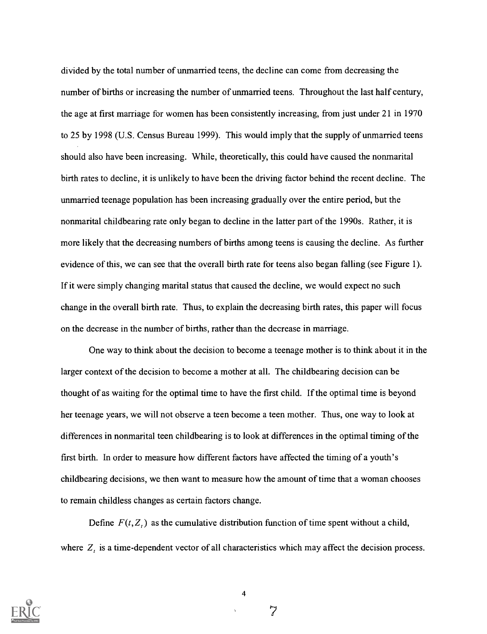divided by the total number of unmarried teens, the decline can come from decreasing the number of births or increasing the number of unmarried teens. Throughout the last half century, the age at first marriage for women has been consistently increasing, from just under 21 in 1970 to 25 by 1998 (U.S. Census Bureau 1999). This would imply that the supply of unmarried teens should also have been increasing. While, theoretically, this could have caused the nonmarital birth rates to decline, it is unlikely to have been the driving factor behind the recent decline. The unmarried teenage population has been increasing gradually over the entire period, but the nonmarital childbearing rate only began to decline in the latter part of the 1990s. Rather, it is more likely that the decreasing numbers of births among teens is causing the decline. As further evidence of this, we can see that the overall birth rate for teens also began falling (see Figure 1). If it were simply changing marital status that caused the decline, we would expect no such change in the overall birth rate. Thus, to explain the decreasing birth rates, this paper will focus on the decrease in the number of births, rather than the decrease in marriage.

One way to think about the decision to become a teenage mother is to think about it in the larger context of the decision to become a mother at all. The childbearing decision can be thought of as waiting for the optimal time to have the first child. If the optimal time is beyond her teenage years, we will not observe a teen become a teen mother. Thus, one way to look at differences in nonmarital teen childbearing is to look at differences in the optimal timing of the first birth. In order to measure how different factors have affected the timing of a youth's childbearing decisions, we then want to measure how the amount of time that a woman chooses to remain childless changes as certain factors change.

Define  $F(t, Z<sub>t</sub>)$  as the cumulative distribution function of time spent without a child, where  $Z_t$  is a time-dependent vector of all characteristics which may affect the decision process.



4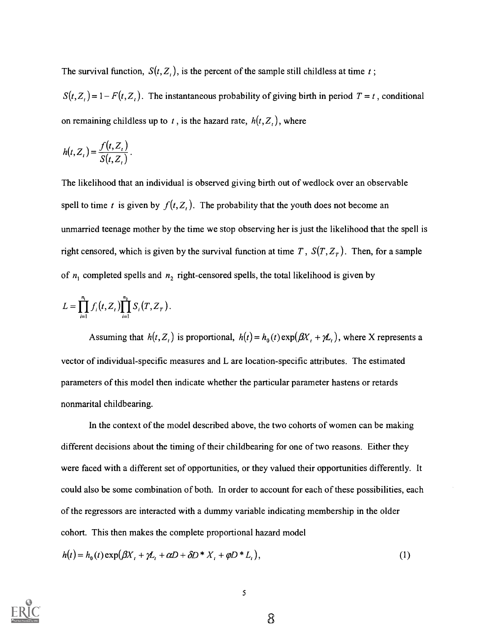The survival function,  $S(t, Z_t)$ , is the percent of the sample still childless at time t;

 $S(t, Z_t) = 1 - F(t, Z_t)$ . The instantaneous probability of giving birth in period  $T = t$ , conditional on remaining childless up to t, is the hazard rate,  $h(t, Z_t)$ , where

$$
h(t, Z_t) = \frac{f(t, Z_t)}{S(t, Z_t)}.
$$

The likelihood that an individual is observed giving birth out of wedlock over an observable spell to time t is given by  $f(t, Z<sub>t</sub>)$ . The probability that the youth does not become an unmarried teenage mother by the time we stop observing her is just the likelihood that the spell is right censored, which is given by the survival function at time T,  $S(T, Z_T)$ . Then, for a sample of  $n_1$  completed spells and  $n_2$  right-censored spells, the total likelihood is given by

$$
L = \prod_{i=1}^{n_1} f_i(t, Z_t) \prod_{i=1}^{n_2} S_i(T, Z_T).
$$

Assuming that  $h(t, Z_t)$  is proportional,  $h(t) = h_0(t) \exp(\beta X_t + \gamma Z_t)$ , where X represents a vector of individual-specific measures and L are location-specific attributes. The estimated parameters of this model then indicate whether the particular parameter hastens or retards nonmarital childbearing.

In the context of the model described above, the two cohorts of women can be making different decisions about the timing of their childbearing for one of two reasons. Either they were faced with a different set of opportunities, or they valued their opportunities differently. It could also be some combination of both. In order to account for each of these possibilities, each of the regressors are interacted with a dummy variable indicating membership in the older cohort. This then makes the complete proportional hazard model

$$
h(t) = h_0(t) \exp(\beta X_t + \gamma L_t + \alpha D + \delta D^* X_t + \varphi D^* L_t),
$$
\n<sup>(1)</sup>

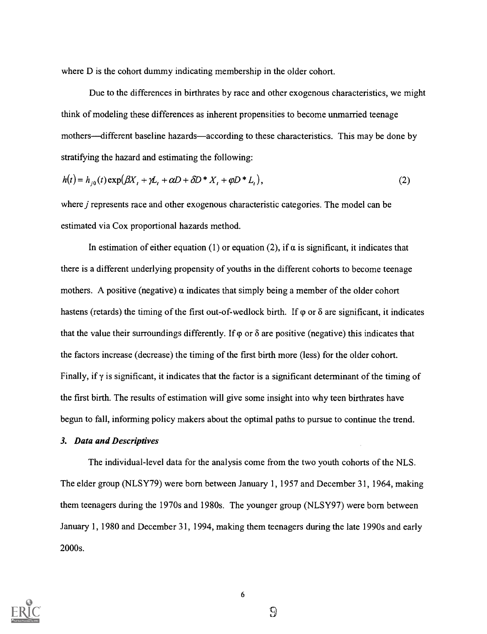where D is the cohort dummy indicating membership in the older cohort.

Due to the differences in birthrates by race and other exogenous characteristics, we might think of modeling these differences as inherent propensities to become unmarried teenage mothers—different baseline hazards—according to these characteristics. This may be done by stratifying the hazard and estimating the following:

$$
h(t) = h_{j0}(t) \exp(\beta X_t + \gamma L_t + \alpha D + \delta D^* X_t + \varphi D^* L_t),
$$
\n<sup>(2)</sup>

where *j* represents race and other exogenous characteristic categories. The model can be estimated via Cox proportional hazards method.

In estimation of either equation (1) or equation (2), if  $\alpha$  is significant, it indicates that there is a different underlying propensity of youths in the different cohorts to become teenage mothers. A positive (negative)  $\alpha$  indicates that simply being a member of the older cohort hastens (retards) the timing of the first out-of-wedlock birth. If  $\varphi$  or  $\delta$  are significant, it indicates that the value their surroundings differently. If  $\varphi$  or  $\delta$  are positive (negative) this indicates that the factors increase (decrease) the timing of the first birth more (less) for the older cohort. Finally, if  $\gamma$  is significant, it indicates that the factor is a significant determinant of the timing of the first birth. The results of estimation will give some insight into why teen birthrates have begun to fall, informing policy makers about the optimal paths to pursue to continue the trend.

#### 3. Data and Descriptives

The individual-level data for the analysis come from the two youth cohorts of the NLS. The elder group (NLSY79) were born between January 1, 1957 and December 31, 1964, making them teenagers during the 1970s and 1980s. The younger group (NLSY97) were born between January 1, 1980 and December 31, 1994, making them teenagers during the late 1990s and early 2000s.

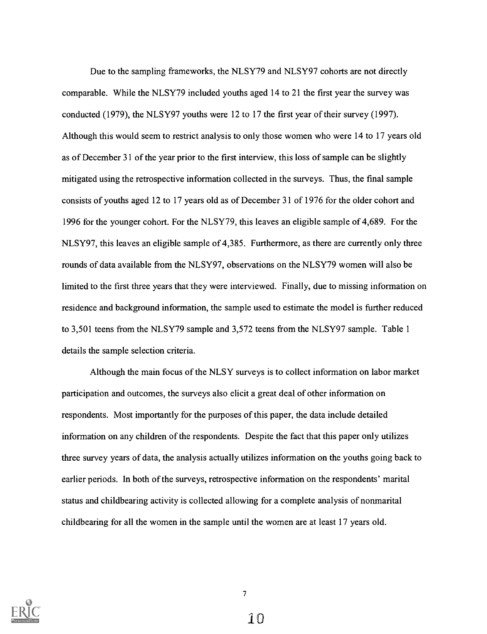Due to the sampling frameworks, the NLSY79 and NLSY97 cohorts are not directly comparable. While the NLSY79 included youths aged <sup>14</sup> to <sup>21</sup> the first year the survey was conducted (1979), the NLSY97 youths were 12 to 17 the first year of their survey (1997). Although this would seem to restrict analysis to only those women who were <sup>14</sup> to <sup>17</sup> years old as of December <sup>31</sup> of the year prior to the first interview, this loss of sample can be slightly mitigated using the retrospective information collected in the surveys. Thus, the final sample consists of youths aged <sup>12</sup> to <sup>17</sup> years old as of December <sup>31</sup> of 1976 for the older cohort and 1996 for the younger cohort. For the NLSY79, this leaves an eligible sample of 4,689. For the NLSY97, this leaves an eligible sample of 4,385. Furthermore, as there are currently only three rounds of data available from the NLSY97, observations on the NLSY79 women will also be limited to the first three years that they were interviewed. Finally, due to missing information on residence and background information, the sample used to estimate the model is further reduced to 3,501 teens from the NLSY79 sample and 3,572 teens from the NLSY97 sample. Table 1 details the sample selection criteria.

Although the main focus of the NLSY surveys is to collect information on labor market participation and outcomes, the surveys also elicit a great deal of other information on respondents. Most importantly for the purposes of this paper, the data include detailed information on any children of the respondents. Despite the fact that this paper only utilizes three survey years of data, the analysis actually utilizes information on the youths going back to earlier periods. In both of the surveys, retrospective information on the respondents' marital status and childbearing activity is collected allowing for a complete analysis of nonmarital childbearing for all the women in the sample until the women are at least 17 years old.

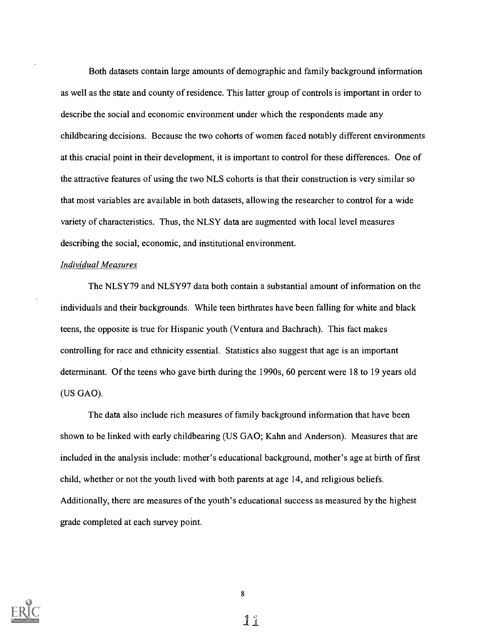Both datasets contain large amounts of demographic and family background information as well as the state and county of residence. This latter group of controls is important in order to describe the social and economic environment under which the respondents made any childbearing decisions. Because the two cohorts of women faced notably different environments at this crucial point in their development, it is important to control for these differences. One of the attractive features of using the two NLS cohorts is that their construction is very similar so that most variables are available in both datasets, allowing the researcher to control for a wide variety of characteristics. Thus, the NLSY data are augmented with local level measures describing the social, economic, and institutional environment.

#### Individual Measures

The NLSY79 and NLSY97 data both contain a substantial amount of information on the individuals and their backgrounds. While teen birthrates have been falling for white and black teens, the opposite is true for Hispanic youth (Ventura and Bachrach). This fact makes controlling for race and ethnicity essential. Statistics also suggest that age is an important determinant. Of the teens who gave birth during the 1990s, 60 percent were 18 to 19 years old (US GAO).

The data also include rich measures of family background information that have been shown to be linked with early childbearing (US GAO; Kahn and Anderson). Measures that are included in the analysis include: mother's educational background, mother's age at birth of first child, whether or not the youth lived with both parents at age 14, and religious beliefs. Additionally, there are measures of the youth's educational success as measured by the highest grade completed at each survey point.



8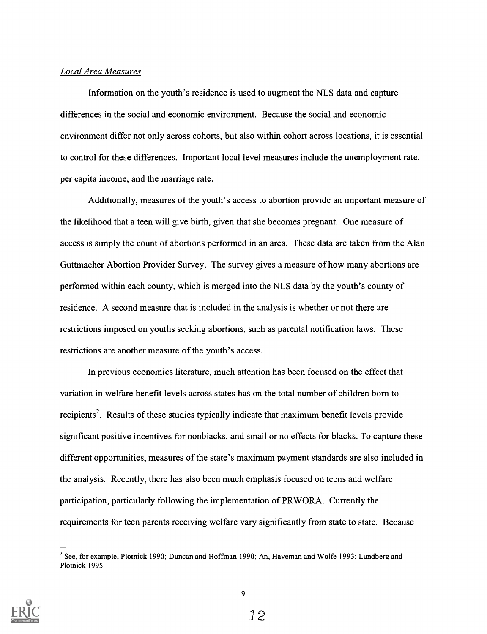#### Local Area Measures

Information on the youth's residence is used to augment the NLS data and capture differences in the social and economic environment. Because the social and economic environment differ not only across cohorts, but also within cohort across locations, it is essential to control for these differences. Important local level measures include the unemployment rate, per capita income, and the marriage rate.

Additionally, measures of the youth's access to abortion provide an important measure of the likelihood that a teen will give birth, given that she becomes pregnant. One measure of access is simply the count of abortions performed in an area. These data are taken from the Alan Guttmacher Abortion Provider Survey. The survey gives a measure of how many abortions are performed within each county, which is merged into the NLS data by the youth's county of residence. A second measure that is included in the analysis is whether or not there are restrictions imposed on youths seeking abortions, such as parental notification laws. These restrictions are another measure of the youth's access.

In previous economics literature, much attention has been focused on the effect that variation in welfare benefit levels across states has on the total number of children born to recipients<sup>2</sup>. Results of these studies typically indicate that maximum benefit levels provide significant positive incentives for nonblacks, and small or no effects for blacks. To capture these different opportunities, measures of the state's maximum payment standards are also included in the analysis. Recently, there has also been much emphasis focused on teens and welfare participation, particularly following the implementation of PRWORA. Currently the requirements for teen parents receiving welfare vary significantly from state to state. Because



<sup>&</sup>lt;sup>2</sup> See, for example, Plotnick 1990; Duncan and Hoffman 1990; An, Haveman and Wolfe 1993; Lundberg and Plotnick 1995.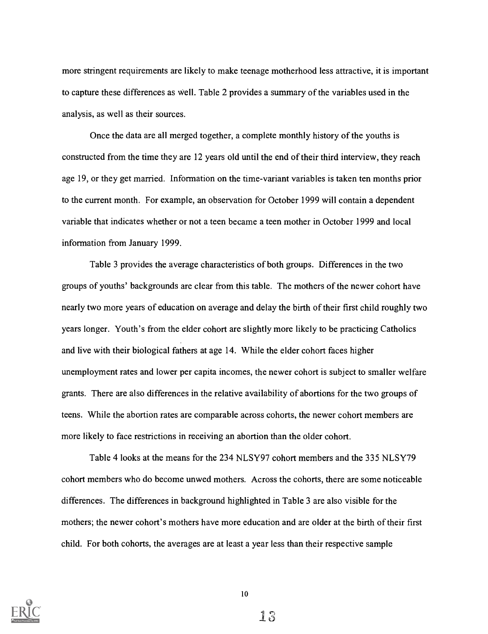more stringent requirements are likely to make teenage motherhood less attractive, it is important to capture these differences as well. Table 2 provides a summary of the variables used in the analysis, as well as their sources.

Once the data are all merged together, a complete monthly history of the youths is constructed from the time they are 12 years old until the end of their third interview, they reach age 19, or they get married. Information on the time-variant variables is taken ten months prior to the current month. For example, an observation for October 1999 will contain a dependent variable that indicates whether or not a teen became a teen mother in October 1999 and local information from January 1999.

Table 3 provides the average characteristics of both groups. Differences in the two groups of youths' backgrounds are clear from this table. The mothers of the newer cohort have nearly two more years of education on average and delay the birth of their first child roughly two years longer. Youth's from the elder cohort are slightly more likely to be practicing Catholics and live with their biological fathers at age 14. While the elder cohort faces higher unemployment rates and lower per capita incomes, the newer cohort is subject to smaller welfare grants. There are also differences in the relative availability of abortions for the two groups of teens. While the abortion rates are comparable across cohorts, the newer cohort members are more likely to face restrictions in receiving an abortion than the older cohort.

Table 4 looks at the means for the 234 NLSY97 cohort members and the 335 NLSY79 cohort members who do become unwed mothers. Across the cohorts, there are some noticeable differences. The differences in background highlighted in Table 3 are also visible for the mothers; the newer cohort's mothers have more education and are older at the birth of their first child. For both cohorts, the averages are at least a year less than their respective sample



10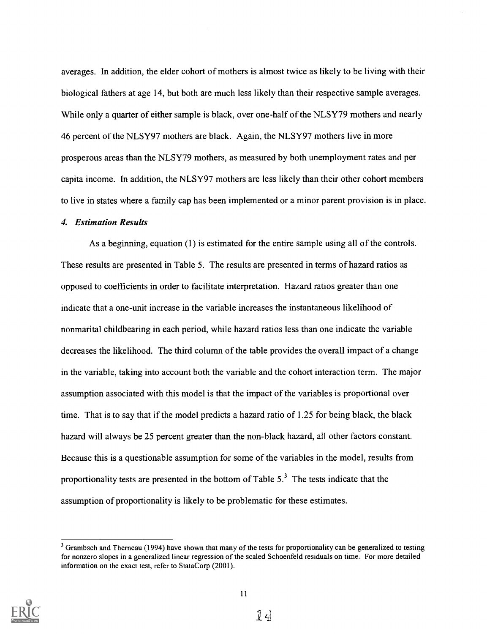averages. In addition, the elder cohort of mothers is almost twice as likely to be living with their biological fathers at age 14, but both are much less likely than their respective sample averages. While only a quarter of either sample is black, over one-half of the NLSY79 mothers and nearly 46 percent of the NLSY97 mothers are black. Again, the NLSY97 mothers live in more prosperous areas than the NLSY79 mothers, as measured by both unemployment rates and per capita income. In addition, the NLSY97 mothers are less likely than their other cohort members to live in states where a family cap has been implemented or a minor parent provision is in place.

#### 4. Estimation Results

As a beginning, equation (1) is estimated for the entire sample using all of the controls. These results are presented in Table 5. The results are presented in terms of hazard ratios as opposed to coefficients in order to facilitate interpretation. Hazard ratios greater than one indicate that a one-unit increase in the variable increases the instantaneous likelihood of nonmarital childbearing in each period, while hazard ratios less than one indicate the variable decreases the likelihood. The third column of the table provides the overall impact of a change in the variable, taking into account both the variable and the cohort interaction term. The major assumption associated with this model is that the impact of the variables is proportional over time. That is to say that if the model predicts a hazard ratio of 1.25 for being black, the black hazard will always be 25 percent greater than the non-black hazard, all other factors constant. Because this is a questionable assumption for some of the variables in the model, results from proportionality tests are presented in the bottom of Table  $5<sup>3</sup>$ . The tests indicate that the assumption of proportionality is likely to be problematic for these estimates.



<sup>&</sup>lt;sup>3</sup> Grambsch and Therneau (1994) have shown that many of the tests for proportionality can be generalized to testing for nonzero slopes in a generalized linear regression of the scaled Schoenfeld residuals on time. For more detailed information on the exact test, refer to StataCorp (2001).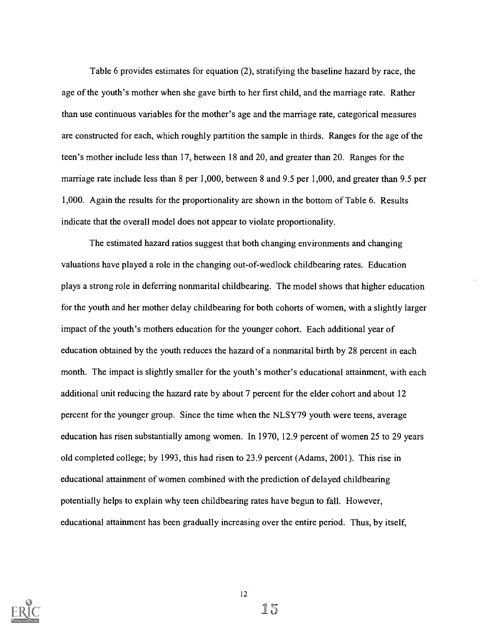Table 6 provides estimates for equation (2), stratifying the baseline hazard by race, the age of the youth's mother when she gave birth to her first child, and the marriage rate. Rather than use continuous variables for the mother's age and the marriage rate, categorical measures are constructed for each, which roughly partition the sample in thirds. Ranges for the age of the teen's mother include less than 17, between 18 and 20, and greater than 20. Ranges for the marriage rate include less than 8 per 1,000, between 8 and 9.5 per 1,000, and greater than 9.5 per 1,000. Again the results for the proportionality are shown in the bottom of Table 6. Results indicate that the overall model does not appear to violate proportionality.

The estimated hazard ratios suggest that both changing environments and changing valuations have played a role in the changing out-of-wedlock childbearing rates. Education plays a strong role in deferring nonmarital childbearing. The model shows that higher education for the youth and her mother delay childbearing for both cohorts of women, with a slightly larger impact of the youth's mothers education for the younger cohort. Each additional year of education obtained by the youth reduces the hazard of a nonmarital birth by 28 percent in each month. The impact is slightly smaller for the youth's mother's educational attainment, with each additional unit reducing the hazard rate by about 7 percent for the elder cohort and about 12 percent for the younger group. Since the time when the NLSY79 youth were teens, average education has risen substantially among women. In 1970, 12.9 percent of women 25 to 29 years old completed college; by 1993, this had risen to 23.9 percent (Adams, 2001). This rise in educational attainment of women combined with the prediction of delayed childbearing potentially helps to explain why teen childbearing rates have begun to fall. However, educational attainment has been gradually increasing over the entire period. Thus, by itself,

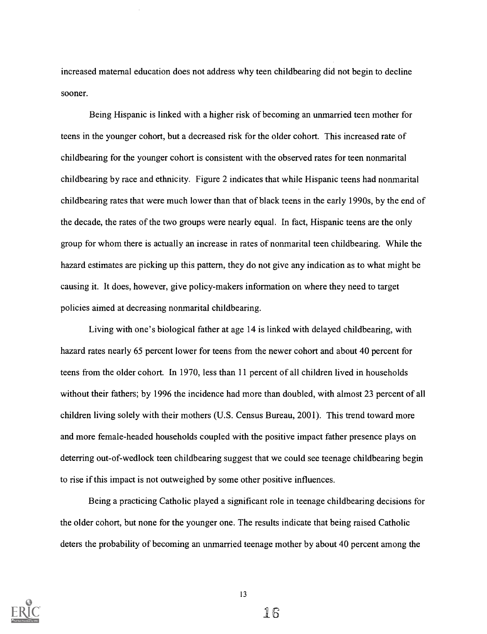increased maternal education does not address why teen childbearing did not begin to decline sooner.

Being Hispanic is linked with a higher risk of becoming an unmarried teen mother for teens in the younger cohort, but a decreased risk for the older cohort. This increased rate of childbearing for the younger cohort is consistent with the observed rates for teen nonmarital childbearing by race and ethnicity. Figure 2 indicates that while Hispanic teens had nonmarital childbearing rates that were much lower than that of black teens in the early 1990s, by the end of the decade, the rates of the two groups were nearly equal. In fact, Hispanic teens are the only group for whom there is actually an increase in rates of nonmarital teen childbearing. While the hazard estimates are picking up this pattern, they do not give any indication as to what might be causing it. It does, however, give policy-makers information on where they need to target policies aimed at decreasing nonmarital childbearing.

Living with one's biological father at age 14 is linked with delayed childbearing, with hazard rates nearly 65 percent lower for teens from the newer cohort and about 40 percent for teens from the older cohort. In 1970, less than 11 percent of all children lived in households without their fathers; by 1996 the incidence had more than doubled, with almost 23 percent of all children living solely with their mothers (U.S. Census Bureau, 2001). This trend toward more and more female-headed households coupled with the positive impact father presence plays on deterring out-of-wedlock teen childbearing suggest that we could see teenage childbearing begin to rise if this impact is not outweighed by some other positive influences.

Being a practicing Catholic played a significant role in teenage childbearing decisions for the older cohort, but none for the younger one. The results indicate that being raised Catholic deters the probability of becoming an unmarried teenage mother by about 40 percent among the

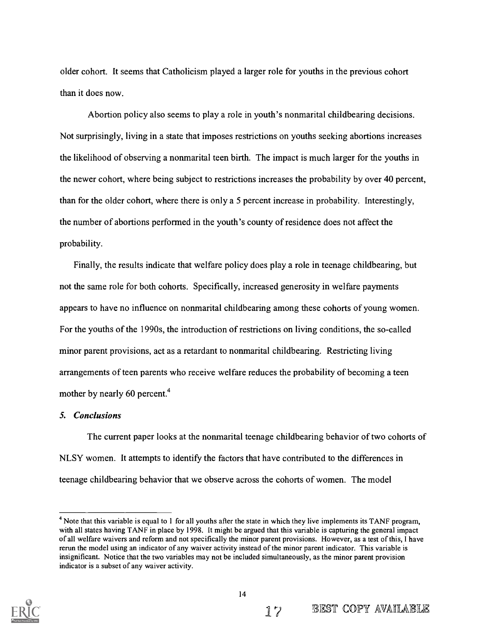older cohort. It seems that Catholicism played a larger role for youths in the previous cohort than it does now.

Abortion policy also seems to play a role in youth's nonmarital childbearing decisions. Not surprisingly, living in a state that imposes restrictions on youths seeking abortions increases the likelihood of observing a nonmarital teen birth. The impact is much larger for the youths in the newer cohort, where being subject to restrictions increases the probability by over 40 percent, than for the older cohort, where there is only a 5 percent increase in probability. Interestingly, the number of abortions performed in the youth's county of residence does not affect the probability.

Finally, the results indicate that welfare policy does play a role in teenage childbearing, but not the same role for both cohorts. Specifically, increased generosity in welfare payments appears to have no influence on nonmarital childbearing among these cohorts of young women. For the youths of the 1990s, the introduction of restrictions on living conditions, the so-called minor parent provisions, act as a retardant to nonmarital childbearing. Restricting living arrangements of teen parents who receive welfare reduces the probability of becoming a teen mother by nearly 60 percent.<sup>4</sup>

#### 5. Conclusions

The current paper looks at the nonmarital teenage childbearing behavior of two cohorts of NLSY women. It attempts to identify the factors that have contributed to the differences in teenage childbearing behavior that we observe across the cohorts of women. The model

 $<sup>4</sup>$  Note that this variable is equal to 1 for all youths after the state in which they live implements its TANF program,</sup> with all states having TANF in place by 1998. It might be argued that this variable is capturing the general impact of all welfare waivers and reform and not specifically the minor parent provisions. However, as a test of this, I have rerun the model using an indicator of any waiver activity instead of the minor parent indicator. This variable is insignificant. Notice that the two variables may not be included simultaneously, as the minor parent provision indicator is a subset of any waiver activity.

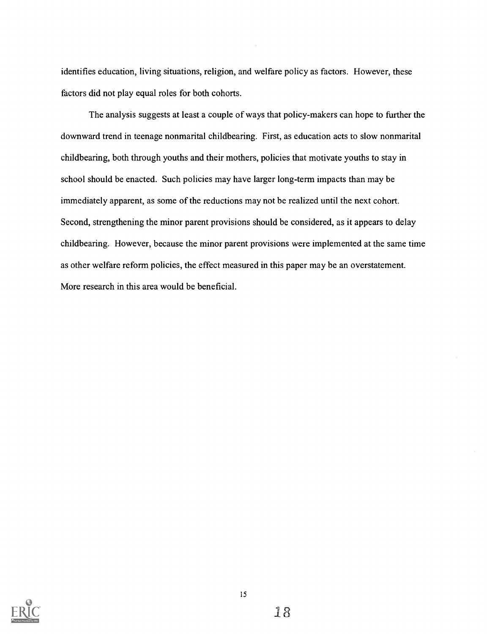identifies education, living situations, religion, and welfare policy as factors. However, these factors did not play equal roles for both cohorts.

The analysis suggests at least a couple of ways that policy-makers can hope to further the downward trend in teenage nonmarital childbearing. First, as education acts to slow nonmarital childbearing, both through youths and their mothers, policies that motivate youths to stay in school should be enacted. Such policies may have larger long-term impacts than may be immediately apparent, as some of the reductions may not be realized until the next cohort. Second, strengthening the minor parent provisions should be considered, as it appears to delay childbearing. However, because the minor parent provisions were implemented at the same time as other welfare reform policies, the effect measured in this paper may be an overstatement. More research in this area would be beneficial.

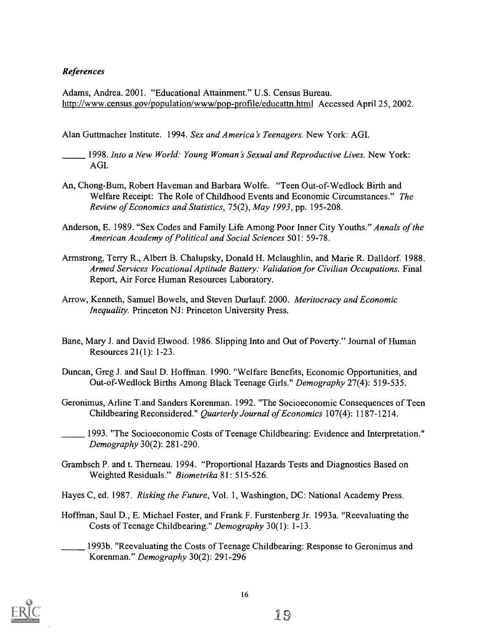## References

Adams, Andrea. 2001. "Educational Attainment." U.S. Census Bureau. http://www.census.gov/population/www/pop-profile/educattn.html Accessed April 25, 2002.

Alan Guttmacher Institute. 1994. Sex and America's Teenagers. New York: AGI.

- 1998. Into a New World: Young Woman's Sexual and Reproductive Lives. New York: AGI.
- An, Chong-Bum, Robert Haveman and Barbara Wolfe. "Teen Out-of-Wedlock Birth and Welfare Receipt: The Role of Childhood Events and Economic Circumstances." The Review of Economics and Statistics, 75(2), May 1993, pp. 195-208.
- Anderson, E. 1989. "Sex Codes and Family Life Among Poor Inner City Youths." Annals of the American Academy of Political and Social Sciences 501: 59-78.
- Armstrong, Terry R., Albert B. Chalupsky, Donald H. Mclaughlin, and Marie R. Dalldorf. 1988. Armed Services Vocational Aptitude Battery: Validation for Civilian Occupations. Final Report, Air Force Human Resources Laboratory.
- Arrow, Kenneth, Samuel Bowels, and Steven Durlauf. 2000. Meritocracy and Economic Inequality. Princeton NJ: Princeton University Press.
- Bane, Mary J. and David Elwood. 1986. Slipping Into and Out of Poverty." Journal of Human Resources 21(1): 1-23.
- Duncan, Greg J. and Saul D. Hoffman. 1990. "Welfare Benefits, Economic Opportunities, and Out-of-Wedlock Births Among Black Teenage Girls." Demography 27(4): 519-535.
- Geronimus, Arline T.and Sanders Korenman. 1992. "The Socioeconomic Consequences of Teen Childbearing Reconsidered." Quarterly Journal of Economics 107(4): 1187-1214.
	- 1993. "The Socioeconomic Costs of Teenage Childbearing: Evidence and Interpretation." Demography 30(2): 281-290.
- Grambsch P. and t. Therneau. 1994. "Proportional Hazards Tests and Diagnostics Based on Weighted Residuals." Biometrika 81: 515-526.
- Hayes C, ed. 1987. Risking the Future, Vol. 1, Washington, DC: National Academy Press.
- Hoffman, Saul D., E. Michael Foster, and Frank F. Furstenberg Jr. 1993a. "Reevaluating the Costs of Teenage Childbearing." Demography 30(1): 1-13.
- 1993b. "Reevaluating the Costs of Teenage Childbearing: Response to Geronimus and Korenman." Demography 30(2): 291-296

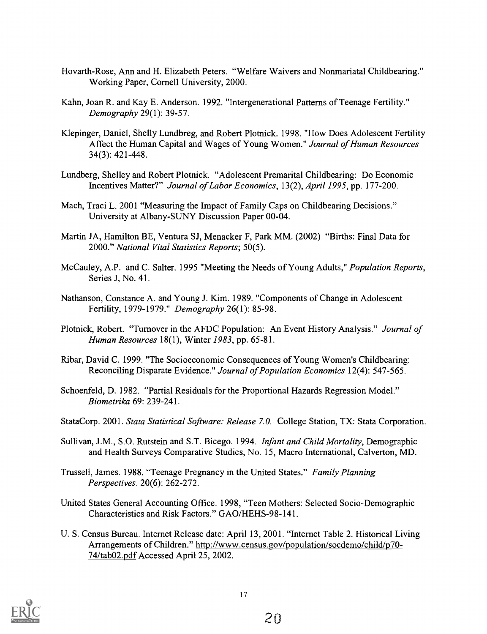- Hovarth-Rose, Ann and H. Elizabeth Peters. "Welfare Waivers and Nonmariatal Childbearing." Working Paper, Cornell University, 2000.
- Kahn, Joan R. and Kay E. Anderson. 1992. "Intergenerational Patterns of Teenage Fertility." Demography 29(1): 39-57.
- Klepinger, Daniel, Shelly Lundbreg, and Robert Plotnick. 1998. "How Does Adolescent Fertility Affect the Human Capital and Wages of Young Women." Journal of Human Resources 34(3): 421-448.
- Lundberg, Shelley and Robert Plotnick. "Adolescent Premarital Childbearing: Do Economic Incentives Matter?" Journal of Labor Economics, 13(2), April 1995, pp. 177-200.
- Mach, Traci L. 2001 "Measuring the Impact of Family Caps on Childbearing Decisions." University at Albany-SUNY Discussion Paper 00-04.
- Martin JA, Hamilton BE, Ventura SJ, Menacker F, Park MM. (2002) "Births: Final Data for 2000." National Vital Statistics Reports; 50(5).
- McCauley, A.P. and C. Salter. 1995 "Meeting the Needs of Young Adults," Population Reports, Series J, No. 41.
- Nathanson, Constance A. and Young J. Kim. 1989. "Components of Change in Adolescent Fertility, 1979-1979." Demography 26(1): 85-98.
- Plotnick, Robert. "Turnover in the AFDC Population: An Event History Analysis." Journal of Human Resources 18(1), Winter 1983, pp. 65-81.
- Ribar, David C. 1999. "The Socioeconomic Consequences of Young Women's Childbearing: Reconciling Disparate Evidence." Journal of Population Economics 12(4): 547-565.
- Schoenfeld, D. 1982. "Partial Residuals for the Proportional Hazards Regression Model." Biometrika 69: 239-241.
- StataCorp. 2001. Stata Statistical Software: Release 7.0. College Station, TX: Stata Corporation.
- Sullivan, J.M., S.O. Rutstein and S.T. Bicego. 1994. Infant and Child Mortality, Demographic and Health Surveys Comparative Studies, No. 15, Macro International, Calverton, MD.
- Trussell, James. 1988. "Teenage Pregnancy in the United States." Family Planning Perspectives. 20(6): 262-272.
- United States General Accounting Office. 1998, "Teen Mothers: Selected Socio-Demographic Characteristics and Risk Factors." GAO/HEHS-98-141.
- U. S. Census Bureau. Internet Release date: April 13, 2001. "Internet Table 2. Historical Living Arrangements of Children." http://www.census.gov/population/socdemo/child/p70-74/tab02.pdf Accessed April 25, 2002.

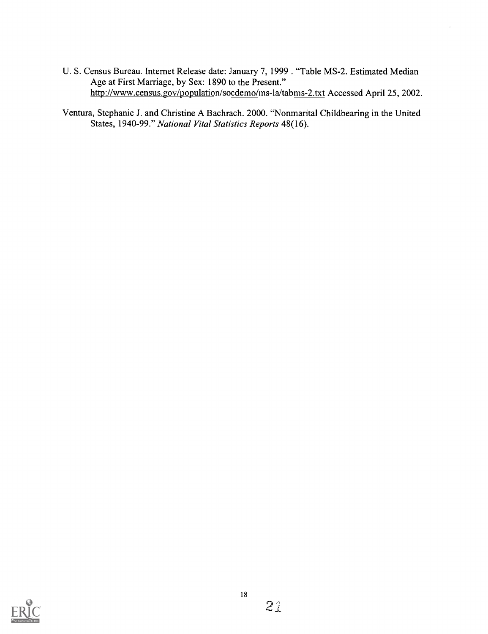- U. S. Census Bureau. Internet Release date: January 7, 1999. "Table MS-2. Estimated Median Age at First Marriage, by Sex: 1890 to the Present." http://www.census.gov/population/socdemo/ms-la/tabms-2.txt Accessed April 25, 2002.
- Ventura, Stephanie J. and Christine A Bachrach. 2000. "Nonmarital Childbearing in the United States, 1940-99." National Vital Statistics Reports 48(16).

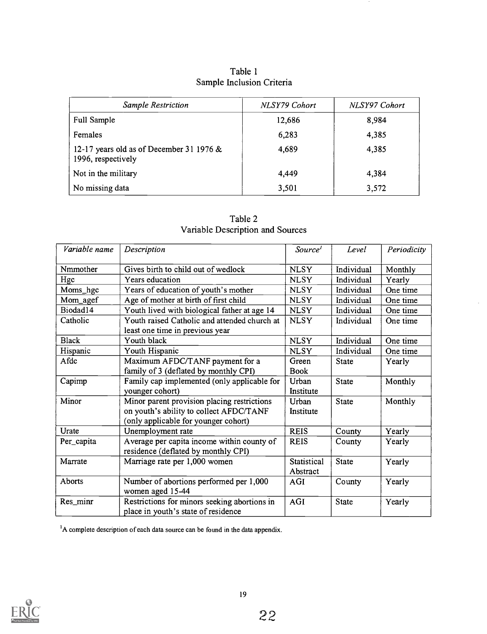| <b>Sample Restriction</b>                                        | NLSY79 Cohort | NLSY97 Cohort |
|------------------------------------------------------------------|---------------|---------------|
| <b>Full Sample</b>                                               | 12,686        | 8,984         |
| <b>Females</b>                                                   | 6,283         | 4,385         |
| 12-17 years old as of December 31 1976 $&$<br>1996, respectively | 4,689         | 4,385         |
| Not in the military                                              | 4.449         | 4,384         |
| No missing data                                                  | 3,501         | 3,572         |

Table 1 Sample Inclusion Criteria

| Table 2                          |  |
|----------------------------------|--|
| Variable Description and Sources |  |

 $\bar{z}$ 

| Variable name | Description                                                                         | Source <sup>1</sup> | Level        | Periodicity |
|---------------|-------------------------------------------------------------------------------------|---------------------|--------------|-------------|
| Nmmother      | Gives birth to child out of wedlock                                                 | <b>NLSY</b>         | Individual   | Monthly     |
| Hgc           | Years education                                                                     | <b>NLSY</b>         | Individual   | Yearly      |
| Moms_hgc      | Years of education of youth's mother                                                | <b>NLSY</b>         | Individual   | One time    |
| Mom_agef      | Age of mother at birth of first child                                               | <b>NLSY</b>         | Individual   | One time    |
| Biodad14      | Youth lived with biological father at age 14                                        | <b>NLSY</b>         | Individual   | One time    |
| Catholic      | Youth raised Catholic and attended church at                                        | <b>NLSY</b>         | Individual   | One time    |
|               | least one time in previous year                                                     |                     |              |             |
| <b>Black</b>  | Youth black                                                                         | <b>NLSY</b>         | Individual   | One time    |
| Hispanic      | Youth Hispanic                                                                      | <b>NLSY</b>         | Individual   | One time    |
| Afdc          | Maximum AFDC/TANF payment for a                                                     | Green               | <b>State</b> | Yearly      |
|               | family of 3 (deflated by monthly CPI)                                               | <b>Book</b>         |              |             |
| Capimp        | Family cap implemented (only applicable for                                         | Urban               | <b>State</b> | Monthly     |
|               | younger cohort)                                                                     | Institute           |              |             |
| Minor         | Minor parent provision placing restrictions                                         | Urban               | <b>State</b> | Monthly     |
|               | on youth's ability to collect AFDC/TANF                                             | Institute           |              |             |
|               | (only applicable for younger cohort)                                                |                     |              |             |
| Urate         | Unemployment rate                                                                   | <b>REIS</b>         | County       | Yearly      |
| Per_capita    | Average per capita income within county of<br>residence (deflated by monthly CPI)   | <b>REIS</b>         | County       | Yearly      |
| Marrate       | Marriage rate per 1,000 women                                                       | Statistical         | <b>State</b> | Yearly      |
|               |                                                                                     | Abstract            |              |             |
| Aborts        | Number of abortions performed per 1,000<br>women aged 15-44                         | <b>AGI</b>          | County       | Yearly      |
| Res_minr      | Restrictions for minors seeking abortions in<br>place in youth's state of residence | <b>AGI</b>          | State        | Yearly      |

 $<sup>1</sup>A$  complete description of each data source can be found in the data appendix.</sup>

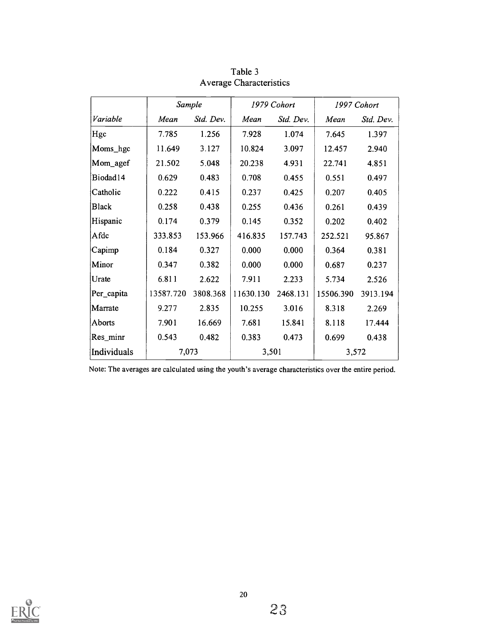|              |           | Sample    |           | 1979 Cohort |           | 1997 Cohort |
|--------------|-----------|-----------|-----------|-------------|-----------|-------------|
| Variable     | Mean      | Std. Dev. | Mean      | Std. Dev.   | Mean      | Std. Dev.   |
| Hgc          | 7.785     | 1.256     | 7.928     | 1.074       | 7.645     | 1.397       |
| Moms_hgc     | 11.649    | 3.127     | 10.824    | 3.097       | 12.457    | 2.940       |
| Mom_agef     | 21.502    | 5.048     | 20.238    | 4.931       | 22.741    | 4.851       |
| Biodad14     | 0.629     | 0.483     | 0.708     | 0.455       | 0.551     | 0.497       |
| Catholic     | 0.222     | 0.415     | 0.237     | 0.425       | 0.207     | 0.405       |
| <b>Black</b> | 0.258     | 0.438     | 0.255     | 0.436       | 0.261     | 0.439       |
| Hispanic     | 0.174     | 0.379     | 0.145     | 0.352       | 0.202     | 0.402       |
| Afdc         | 333.853   | 153.966   | 416.835   | 157.743     | 252.521   | 95.867      |
| Capimp       | 0.184     | 0.327     | 0.000     | 0.000       | 0.364     | 0.381       |
| Minor        | 0.347     | 0.382     | 0.000     | 0.000       | 0.687     | 0.237       |
| Urate        | 6.811     | 2.622     | 7.911     | 2.233       | 5.734     | 2.526       |
| Per_capita   | 13587.720 | 3808.368  | 11630.130 | 2468.131    | 15506.390 | 3913.194    |
| Marrate      | 9.277     | 2.835     | 10.255    | 3.016       | 8.318     | 2.269       |
| Aborts       | 7.901     | 16.669    | 7.681     | 15.841      | 8.118     | 17.444      |
| Res_minr     | 0.543     | 0.482     | 0.383     | 0.473       | 0.699     | 0.438       |
| Individuals  | 7,073     |           | 3,501     |             | 3,572     |             |

Table 3 Average Characteristics

Note: The averages are calculated using the youth's average characteristics over the entire period.

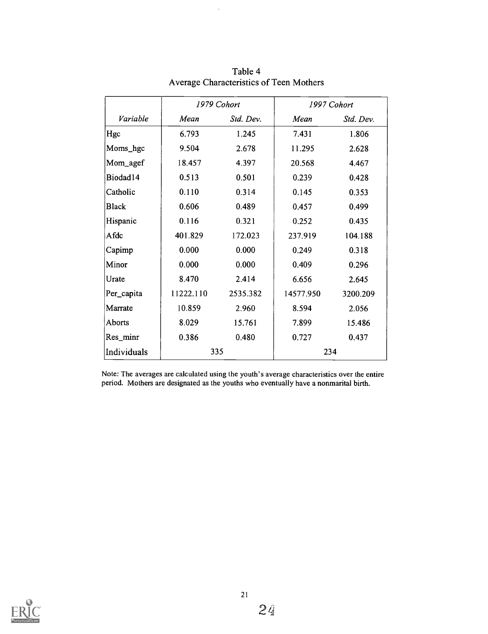|              |           | 1979 Cohort |           | 1997 Cohort |
|--------------|-----------|-------------|-----------|-------------|
| Variable     | Mean      | Std. Dev.   | Mean      | Std. Dev.   |
| Hgc          | 6.793     | 1.245       | 7.431     | 1.806       |
| Moms_hgc     | 9.504     | 2.678       | 11.295    | 2.628       |
| Mom_agef     | 18.457    | 4.397       | 20.568    | 4.467       |
| Biodad14     | 0.513     | 0.501       | 0.239     | 0.428       |
| Catholic     | 0.110     | 0.314       | 0.145     | 0.353       |
| <b>Black</b> | 0.606     | 0.489       | 0.457     | 0.499       |
| Hispanic     | 0.116     | 0.321       | 0.252     | 0.435       |
| Afdc         | 401.829   | 172.023     | 237.919   | 104.188     |
| Capimp       | 0.000     | 0.000       | 0.249     | 0.318       |
| Minor        | 0.000     | 0.000       | 0.409     | 0.296       |
| Urate        | 8.470     | 2.414       | 6.656     | 2.645       |
| Per_capita   | 11222.110 | 2535.382    | 14577.950 | 3200.209    |
| Marrate      | 10.859    | 2.960       | 8.594     | 2.056       |
| Aborts       | 8.029     | 15.761      | 7.899     | 15.486      |
| Res_minr     | 0.386     | 0.480       | 0.727     | 0.437       |
| Individuals  | 335       |             | 234       |             |

Table 4 Average Characteristics of Teen Mothers

 $\ddot{\phantom{a}}$ 

Note: The averages are calculated using the youth's average characteristics over the entire period. Mothers are designated as the youths who eventually have a nonmarital birth.

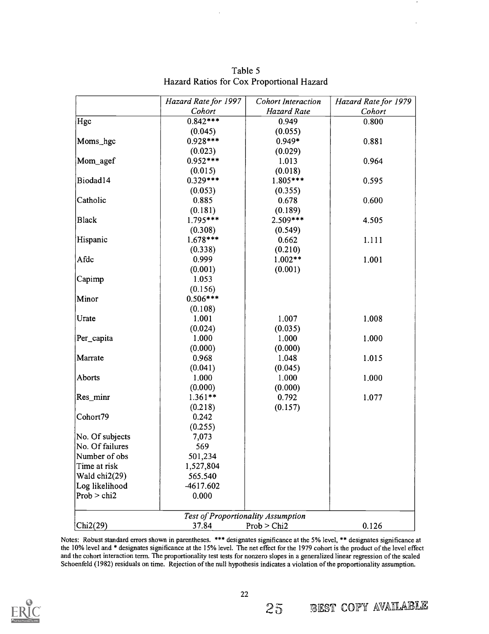|                 | Hazard Rate for 1997               | <b>Cohort Interaction</b> | Hazard Rate for 1979 |
|-----------------|------------------------------------|---------------------------|----------------------|
|                 | Cohort                             | <b>Hazard Rate</b>        | Cohort               |
| Hgc             | $0.842***$                         | 0.949                     | 0.800                |
|                 | (0.045)                            | (0.055)                   |                      |
| Moms_hgc        | $0.928***$                         | $0.949*$                  | 0.881                |
|                 | (0.023)                            | (0.029)                   |                      |
| Mom_agef        | $0.952***$                         | 1.013                     | 0.964                |
|                 | (0.015)                            | (0.018)                   |                      |
| Biodad14        | $0.329***$                         | $1.805***$                | 0.595                |
|                 | (0.053)                            | (0.355)                   |                      |
| Catholic        | 0.885                              | 0.678                     | 0.600                |
|                 | (0.181)                            | (0.189)                   |                      |
| <b>Black</b>    | $1.795***$                         | $2.509***$                | 4.505                |
|                 | (0.308)                            | (0.549)                   |                      |
| Hispanic        | $1.678***$                         | 0.662                     | 1.111                |
|                 | (0.338)                            | (0.210)                   |                      |
| Afdc            | 0.999                              | $1.002**$                 | 1.001                |
|                 | (0.001)                            | (0.001)                   |                      |
| Capimp          | 1.053                              |                           |                      |
|                 | (0.156)                            |                           |                      |
| Minor           | $0.506***$                         |                           |                      |
|                 | (0.108)                            |                           |                      |
| Urate           | 1.001                              | 1.007                     | 1.008                |
|                 | (0.024)                            | (0.035)                   |                      |
| Per_capita      | 1.000                              | 1.000                     | 1.000                |
|                 | (0.000)                            | (0.000)                   |                      |
| Marrate         | 0.968                              | 1.048                     | 1.015                |
|                 | (0.041)                            | (0.045)                   |                      |
| Aborts          | 1.000                              | 1.000                     | 1.000                |
|                 | (0.000)                            | (0.000)                   |                      |
| Res_minr        | $1.361**$                          | 0.792                     | 1.077                |
|                 | (0.218)                            | (0.157)                   |                      |
| Cohort79        | 0.242                              |                           |                      |
|                 | (0.255)                            |                           |                      |
| No. Of subjects | 7,073                              |                           |                      |
| No. Of failures | 569                                |                           |                      |
| Number of obs   | 501,234                            |                           |                      |
| Time at risk    | 1,527,804                          |                           |                      |
| Wald chi2(29)   | 565.540                            |                           |                      |
| Log likelihood  | -4617.602                          |                           |                      |
| Prob > chi2     | 0.000                              |                           |                      |
|                 | Test of Proportionality Assumption |                           |                      |
|                 | 37.84                              | Prob > Chi2               |                      |
| Chi2(29)        |                                    |                           | 0.126                |

Table 5 Hazard Ratios for Cox Proportional Hazard

Notes: Robust standard errors shown in parentheses. \*\*\* designates significance at the 5% level, \*\* designates significance at the 10% level and \* designates significance at the 15% level. The net effect for the 1979 cohort is the product of the level effect and the cohort interaction term. The proportionality test tests for nonzero slopes in a generalized linear regression of the scaled Schoenfeld (1982) residuals on time. Rejection of the null hypothesis indicates a violation of the proportionality assumption.



25 BEST COPY AVAILABLE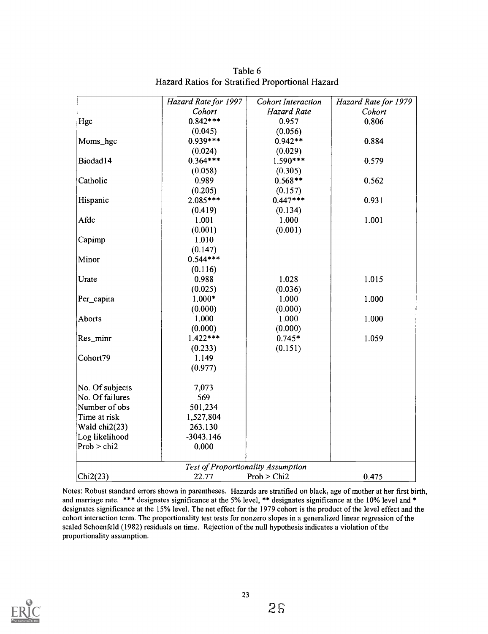|                 | Hazard Rate for 1997               | <b>Cohort Interaction</b> | Hazard Rate for 1979 |
|-----------------|------------------------------------|---------------------------|----------------------|
|                 | Cohort                             | <b>Hazard Rate</b>        | Cohort               |
| Hgc             | $0.842***$                         | 0.957                     | 0.806                |
|                 | (0.045)                            | (0.056)                   |                      |
| Moms_hgc        | $0.939***$                         | $0.942**$                 | 0.884                |
|                 | (0.024)                            | (0.029)                   |                      |
| Biodad14        | $0.364***$                         | $1.590***$                | 0.579                |
|                 | (0.058)                            | (0.305)                   |                      |
| Catholic        | 0.989                              | $0.568**$                 | 0.562                |
|                 | (0.205)                            | (0.157)                   |                      |
| Hispanic        | 2.085***                           | $0.447***$                | 0.931                |
|                 | (0.419)                            | (0.134)                   |                      |
| Afdc            | 1.001                              | 1.000                     | 1.001                |
|                 | (0.001)                            | (0.001)                   |                      |
| Capimp          | 1.010                              |                           |                      |
|                 | (0.147)                            |                           |                      |
| Minor           | $0.544***$                         |                           |                      |
|                 | (0.116)                            |                           |                      |
| Urate           | 0.988                              | 1.028                     | 1.015                |
|                 | (0.025)                            | (0.036)                   |                      |
| Per_capita      | $1.000*$                           | 1.000                     | 1.000                |
|                 | (0.000)                            | (0.000)                   |                      |
| Aborts          | 1.000                              | 1.000                     | 1.000                |
|                 | (0.000)                            | (0.000)                   |                      |
| Res_minr        | $1.422***$                         | $0.745*$                  | 1.059                |
|                 | (0.233)                            | (0.151)                   |                      |
| Cohort79        | 1.149                              |                           |                      |
|                 | (0.977)                            |                           |                      |
| No. Of subjects | 7,073                              |                           |                      |
| No. Of failures | 569                                |                           |                      |
| Number of obs   | 501,234                            |                           |                      |
| Time at risk    | 1,527,804                          |                           |                      |
| Wald chi2(23)   | 263.130                            |                           |                      |
| Log likelihood  | $-3043.146$                        |                           |                      |
| Prob > chi2     | 0.000                              |                           |                      |
|                 | Test of Proportionality Assumption |                           |                      |
| Chi2(23)        | 22.77                              | Prob > Chi2               | 0.475                |

Table 6 Hazard Ratios for Stratified Proportional Hazard

Notes: Robust standard errors shown in parentheses. Hazards are stratified on black, age of mother at her first birth, and marriage rate. \*\*\* designates significance at the 5% level, \*\* designates significance at the 10% level and \* designates significance at the 15% level. The net effect for the 1979 cohort is the product of the level effect and the cohort interaction term. The proportionality test tests for nonzero slopes in a generalized linear regression of the scaled Schoenfeld (1982) residuals on time. Rejection of the null hypothesis indicates a violation of the proportionality assumption.

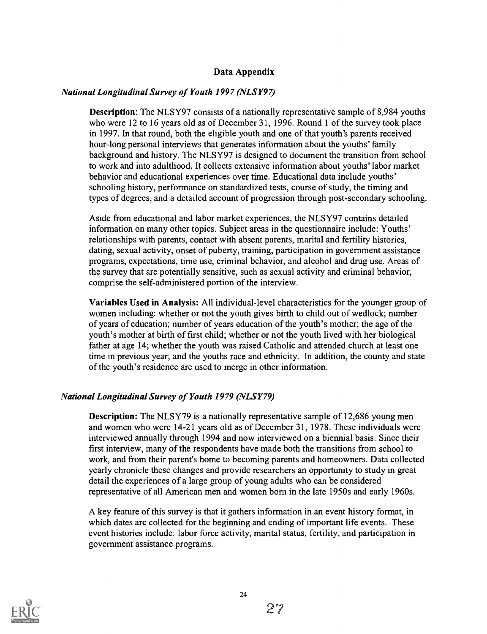## Data Appendix

## National Longitudinal Survey of Youth 1997 (NLSY97)

Description: The NLSY97 consists of a nationally representative sample of 8,984 youths who were 12 to 16 years old as of December 31, 1996. Round 1 of the survey took place in 1997. In that round, both the eligible youth and one of that youth's parents received hour-long personal interviews that generates information about the youths' family background and history. The NLSY97 is designed to document the transition from school to work and into adulthood. It collects extensive information about youths' labor market behavior and educational experiences over time. Educational data include youths' schooling history, performance on standardized tests, course of study, the timing and types of degrees, and a detailed account of progression through post-secondary schooling.

Aside from educational and labor market experiences, the NLSY97 contains detailed information on many other topics. Subject areas in the questionnaire include: Youths' relationships with parents, contact with absent parents, marital and fertility histories, dating, sexual activity, onset of puberty, training, participation in government assistance programs, expectations, time use, criminal behavior, and alcohol and drug use. Areas of the survey that are potentially sensitive, such as sexual activity and criminal behavior, comprise the self-administered portion of the interview.

Variables Used in Analysis: All individual-level characteristics for the younger group of women including: whether or not the youth gives birth to child out of wedlock; number of years of education; number of years education of the youth's mother; the age of the youth's mother at birth of first child; whether or not the youth lived with her biological father at age 14; whether the youth was raised Catholic and attended church at least one time in previous year; and the youths race and ethnicity. In addition, the county and state of the youth's residence are used to merge in other information.

## National Longitudinal Survey of Youth 1979 (NLSY79)

Description: The NLSY79 is a nationally representative sample of 12,686 young men and women who were 14-21 years old as of December 31, 1978. These individuals were interviewed annually through 1994 and now interviewed on a biennial basis. Since their first interview, many of the respondents have made both the transitions from school to work, and from their parent's home to becoming parents and homeowners. Data collected yearly chronicle these changes and provide researchers an opportunity to study in great detail the experiences of a large group of young adults who can be considered representative of all American men and women born in the late 1950s and early 1960s.

A key feature of this survey is that it gathers information in an event history format, in which dates are collected for the beginning and ending of important life events. These event histories include: labor force activity, marital status, fertility, and participation in government assistance programs.

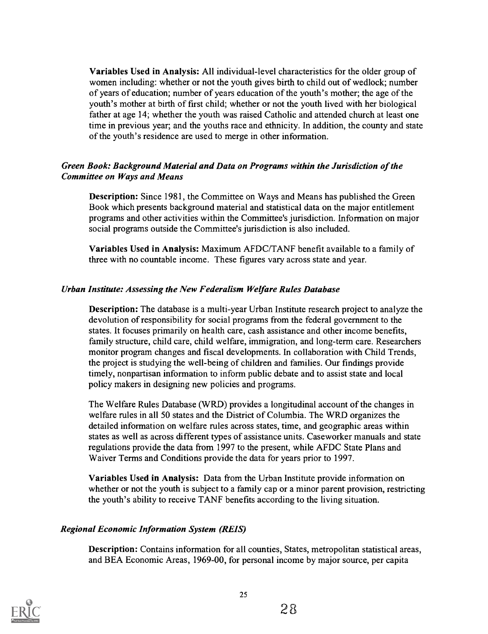Variables Used in Analysis: All individual-level characteristics for the older group of women including: whether or not the youth gives birth to child out of wedlock; number of years of education; number of years education of the youth's mother; the age of the youth's mother at birth of first child; whether or not the youth lived with her biological father at age 14; whether the youth was raised Catholic and attended church at least one time in previous year; and the youths race and ethnicity. In addition, the county and state of the youth's residence are used to merge in other information.

## Green Book: Background Material and Data on Programs within the Jurisdiction of the Committee on Ways and Means

Description: Since 1981, the Committee on Ways and Means has published the Green Book which presents background material and statistical data on the major entitlement programs and other activities within the Committee's jurisdiction. Information on major social programs outside the Committee's jurisdiction is also included.

Variables Used in Analysis: Maximum AFDC/TANF benefit available to a family of three with no countable income. These figures vary across state and year.

## Urban Institute: Assessing the New Federalism Welfare Rules Database

Description: The database is a multi-year Urban Institute research project to analyze the devolution of responsibility for social programs from the federal government to the states. It focuses primarily on health care, cash assistance and other income benefits, family structure, child care, child welfare, immigration, and long-term care. Researchers monitor program changes and fiscal developments. In collaboration with Child Trends, the project is studying the well-being of children and families. Our findings provide timely, nonpartisan information to inform public debate and to assist state and local policy makers in designing new policies and programs.

The Welfare Rules Database (WRD) provides a longitudinal account of the changes in welfare rules in all 50 states and the District of Columbia. The WRD organizes the detailed information on welfare rules across states, time, and geographic areas within states as well as across different types of assistance units. Caseworker manuals and state regulations provide the data from 1997 to the present, while AFDC State Plans and Waiver Terms and Conditions provide the data for years prior to 1997.

Variables Used in Analysis: Data from the Urban Institute provide information on whether or not the youth is subject to a family cap or a minor parent provision, restricting the youth's ability to receive TANF benefits according to the living situation.

## Regional Economic Information System (REIS)

Description: Contains information for all counties, States, metropolitan statistical areas, and BEA Economic Areas, 1969-00, for personal income by major source, per capita

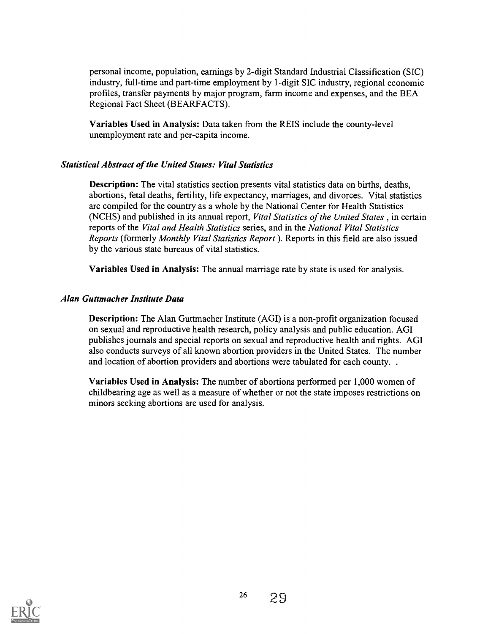personal income, population, earnings by 2-digit Standard Industrial Classification (SIC) industry, full-time and part-time employment by 1-digit SIC industry, regional economic profiles, transfer payments by major program, farm income and expenses, and the BEA Regional Fact Sheet (BEARFACTS).

Variables Used in Analysis: Data taken from the REIS include the county-level unemployment rate and per-capita income.

## Statistical Abstract of the United States: Vital Statistics

Description: The vital statistics section presents vital statistics data on births, deaths, abortions, fetal deaths, fertility, life expectancy, marriages, and divorces. Vital statistics are compiled for the country as a whole by the National Center for Health Statistics (NCHS) and published in its annual report, Vital Statistics of the United States, in certain reports of the Vital and Health Statistics series, and in the National Vital Statistics Reports (formerly Monthly Vital Statistics Report ). Reports in this field are also issued by the various state bureaus of vital statistics.

Variables Used in Analysis: The annual marriage rate by state is used for analysis.

#### Alan Guttmacher Institute Data

Description: The Alan Guttmacher Institute (AGI) is a non-profit organization focused on sexual and reproductive health research, policy analysis and public education. AGI publishes journals and special reports on sexual and reproductive health and rights. AGI also conducts surveys of all known abortion providers in the United States. The number and location of abortion providers and abortions were tabulated for each county. .

Variables Used in Analysis: The number of abortions performed per 1,000 women of childbearing age as well as a measure of whether or not the state imposes restrictions on minors seeking abortions are used for analysis.

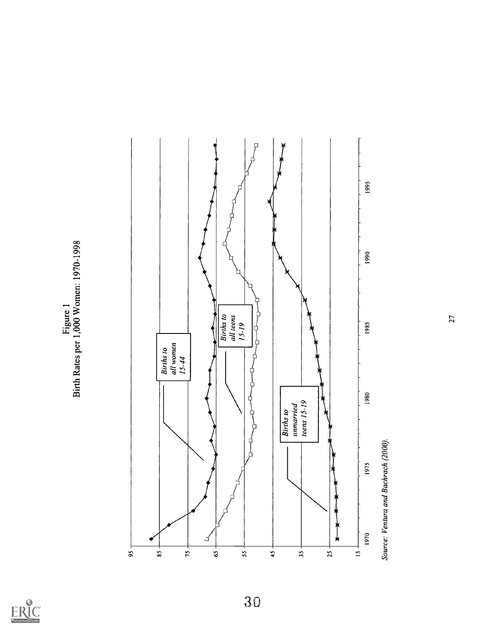

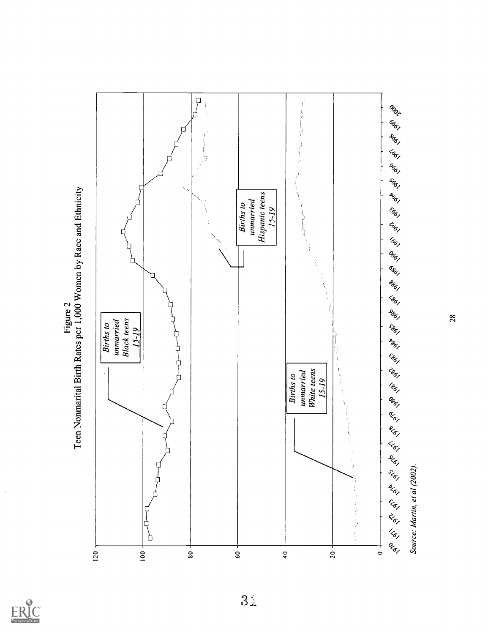